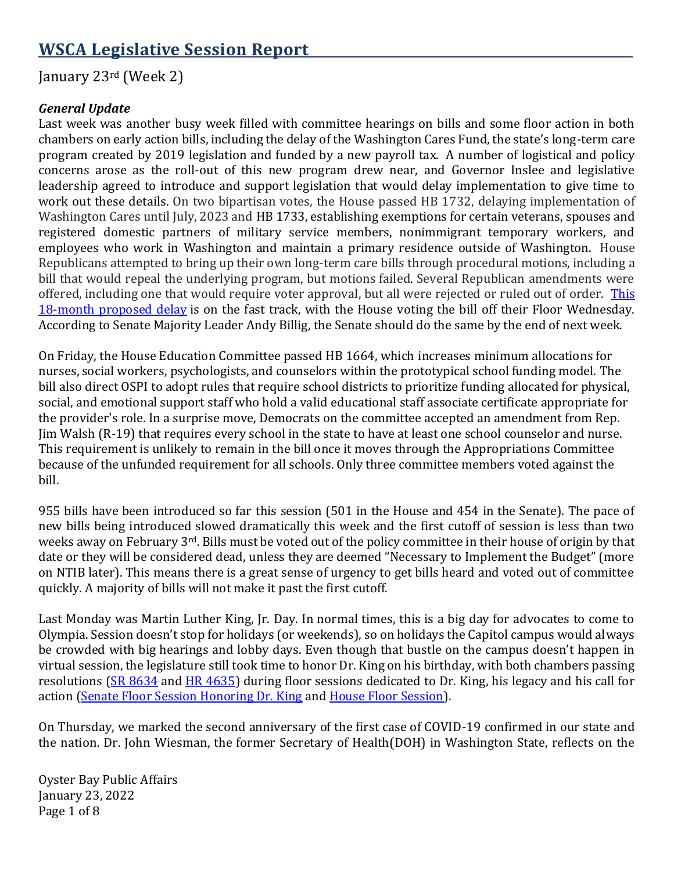# **WSCA Legislative Session Report**

## January 23rd (Week 2)

#### *General Update*

Last week was another busy week filled with committee hearings on bills and some floor action in both chambers on early action bills, including the delay of the Washington Cares Fund, the state's long-term care program created by 2019 legislation and funded by a new payroll tax. A number of logistical and policy concerns arose as the roll-out of this new program drew near, and Governor Inslee and legislative leadership agreed to introduce and support legislation that would delay implementation to give time to work out these details. On two bipartisan votes, the House passed HB 1732, delaying implementation of Washington Cares until July, 2023 and HB 1733, establishing exemptions for certain veterans, spouses and registered domestic partners of military service members, nonimmigrant temporary workers, and employees who work in Washington and maintain a primary residence outside of Washington. House Republicans attempted to bring up their own long-term care bills through procedural motions, including a bill that would repeal the underlying program, but motions failed. Several Republican amendments were offered, including one that would require voter approval, but all were rejected or ruled out of order. This [18-month proposed delay](https://www.nwnewsnetwork.org/2022-01-19/washington-house-democrats-vote-to-delay-long-term-care-tax-for-18-months) is on the fast track, with the House voting the bill off their Floor Wednesday. According to Senate Majority Leader Andy Billig, the Senate should do the same by the end of next week.

On Friday, the House Education Committee passed HB 1664, which increases minimum allocations for nurses, social workers, psychologists, and counselors within the prototypical school funding model. The bill also direct OSPI to adopt rules that require school districts to prioritize funding allocated for physical, social, and emotional support staff who hold a valid educational staff associate certificate appropriate for the provider's role. In a surprise move, Democrats on the committee accepted an amendment from Rep. Jim Walsh (R-19) that requires every school in the state to have at least one school counselor and nurse. This requirement is unlikely to remain in the bill once it moves through the Appropriations Committee because of the unfunded requirement for all schools. Only three committee members voted against the bill.

955 bills have been introduced so far this session (501 in the House and 454 in the Senate). The pace of new bills being introduced slowed dramatically this week and the first cutoff of session is less than two weeks away on February 3rd. Bills must be voted out of the policy committee in their house of origin by that date or they will be considered dead, unless they are deemed "Necessary to Implement the Budget" (more on NTIB later). This means there is a great sense of urgency to get bills heard and voted out of committee quickly. A majority of bills will not make it past the first cutoff.

Last Monday was Martin Luther King, Jr. Day. In normal times, this is a big day for advocates to come to Olympia. Session doesn't stop for holidays (or weekends), so on holidays the Capitol campus would always be crowded with big hearings and lobby days. Even though that bustle on the campus doesn't happen in virtual session, the legislature still took time to honor Dr. King on his birthday, with both chambers passing resolutions [\(SR 8634](https://lawfilesext.leg.wa.gov/biennium/2021-22/Pdf/Bills/Senate%20Resolutions/8634-Dr.%20Martin%20Luther%20King,%20Jr..pdf?q=20220119100753) and [HR 4635\)](https://app.leg.wa.gov/billsummary?BillNumber=4635&Year=2021&Initiative=false) during floor sessions dedicated to Dr. King, his legacy and his call for action [\(Senate Floor Session Honoring Dr. King](https://tvw.org/video/senate-pro-forma-session-1172022-2022011065/?eventID=2022011065) and [House Floor Session\)](https://tvw.org/video/house-floor-debate-january-17-2022011277/?eventID=2022011277).

On Thursday, we marked the second anniversary of the first case of COVID-19 confirmed in our state and the nation. Dr. John Wiesman, the former Secretary of Health(DOH) in Washington State, reflects on the

Oyster Bay Public Affairs January 23, 2022 Page 1 of 8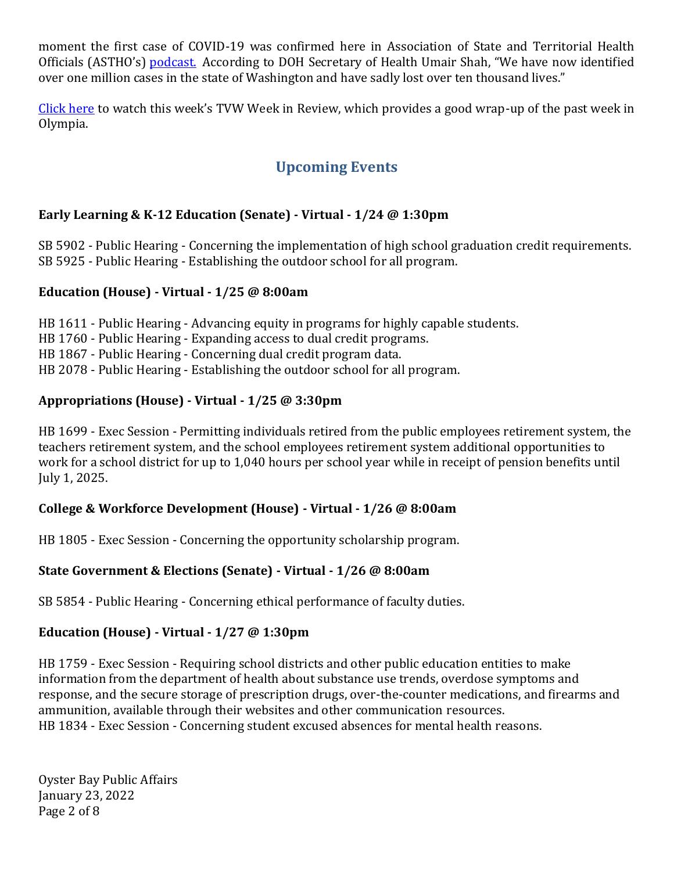moment the first case of COVID-19 was confirmed here in Association of State and Territorial Health Officials (ASTHO's) [podcast.](https://urldefense.proofpoint.com/v2/url?u=https-3A__newscast.astho.org_101-2Drecalling-2Dcovid-2D19s-2Dfirst-2Dcase-2Dpart-2D1_-3Ffbclid-3DIwAR2ODzGXSntUIslXLI98V9yidAEXH88ltj-5F6WnJp5cNQQDZQMZkkwNQPzLs&d=DwMGaQ&c=euGZstcaTDllvimEN8b7jXrwqOf-v5A_CdpgnVfiiMM&r=9CvkFtS6JNLm0gInAxXLMS1YDBLxYXHrEWpaXnSkn5YFbdStg-xmdv1f5Jt2Al1w&m=Sb0KgfqaeDM3ZSov-6z-PysvWXi_uMyjPFoHfHWDsyQ&s=xWbjBkrdmaOGs3JolBQydU0uhg3gIY04JpCD6edljpY&e=) According to DOH Secretary of Health Umair Shah, "We have now identified over one million cases in the state of Washington and have sadly lost over ten thousand lives."

[Click here](https://tvw.org/video/legislative-review-january-17-21-2022011267/) to watch this week's TVW Week in Review, which provides a good wrap-up of the past week in Olympia.

## **Upcoming Events**

## **Early Learning & K-12 Education (Senate) - Virtual - 1/24 @ 1:30pm**

SB 5902 - Public Hearing - Concerning the implementation of high school graduation credit requirements. SB 5925 - Public Hearing - Establishing the outdoor school for all program.

#### **Education (House) - Virtual - 1/25 @ 8:00am**

HB 1611 - Public Hearing - Advancing equity in programs for highly capable students. HB 1760 - Public Hearing - Expanding access to dual credit programs. HB 1867 - Public Hearing - Concerning dual credit program data. HB 2078 - Public Hearing - Establishing the outdoor school for all program.

#### **Appropriations (House) - Virtual - 1/25 @ 3:30pm**

HB 1699 - Exec Session - Permitting individuals retired from the public employees retirement system, the teachers retirement system, and the school employees retirement system additional opportunities to work for a school district for up to 1,040 hours per school year while in receipt of pension benefits until July 1, 2025.

## **College & Workforce Development (House) - Virtual - 1/26 @ 8:00am**

HB 1805 - Exec Session - Concerning the opportunity scholarship program.

#### **State Government & Elections (Senate) - Virtual - 1/26 @ 8:00am**

SB 5854 - Public Hearing - Concerning ethical performance of faculty duties.

## **Education (House) - Virtual - 1/27 @ 1:30pm**

HB 1759 - Exec Session - Requiring school districts and other public education entities to make information from the department of health about substance use trends, overdose symptoms and response, and the secure storage of prescription drugs, over-the-counter medications, and firearms and ammunition, available through their websites and other communication resources. HB 1834 - Exec Session - Concerning student excused absences for mental health reasons.

Oyster Bay Public Affairs January 23, 2022 Page 2 of 8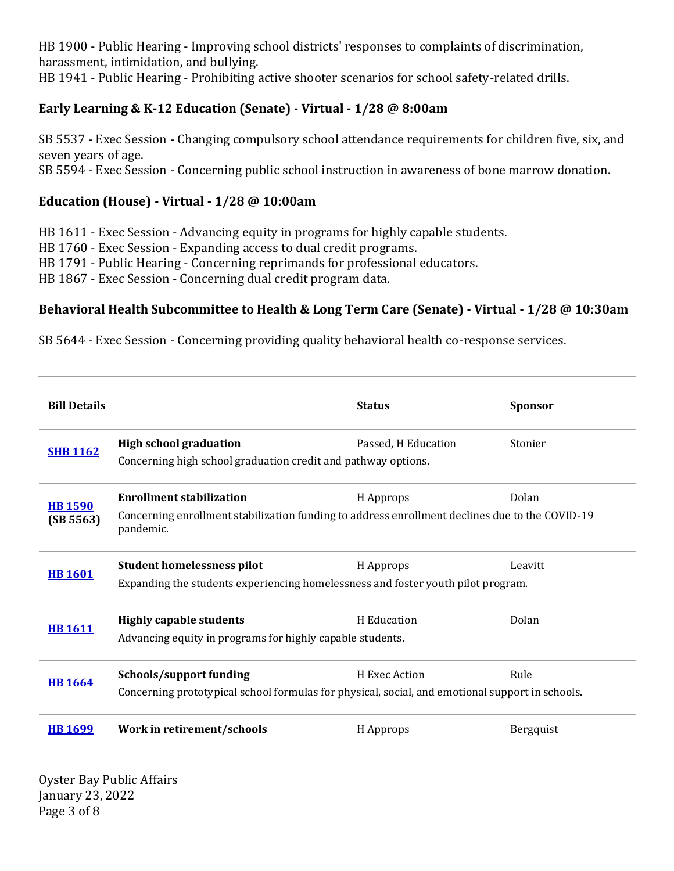HB 1900 - Public Hearing - Improving school districts' responses to complaints of discrimination, harassment, intimidation, and bullying.

HB 1941 - Public Hearing - Prohibiting active shooter scenarios for school safety-related drills.

## **Early Learning & K-12 Education (Senate) - Virtual - 1/28 @ 8:00am**

SB 5537 - Exec Session - Changing compulsory school attendance requirements for children five, six, and seven years of age. SB 5594 - Exec Session - Concerning public school instruction in awareness of bone marrow donation.

#### **Education (House) - Virtual - 1/28 @ 10:00am**

HB 1611 - Exec Session - Advancing equity in programs for highly capable students. HB 1760 - Exec Session - Expanding access to dual credit programs.

HB 1791 - Public Hearing - Concerning reprimands for professional educators.

HB 1867 - Exec Session - Concerning dual credit program data.

#### **Behavioral Health Subcommittee to Health & Long Term Care (Senate) - Virtual - 1/28 @ 10:30am**

SB 5644 - Exec Session - Concerning providing quality behavioral health co-response services.

| <b>Bill Details</b>         |                                                                                                                                                     | <b>Status</b>       | <b>Sponsor</b> |
|-----------------------------|-----------------------------------------------------------------------------------------------------------------------------------------------------|---------------------|----------------|
| <b>SHB 1162</b>             | <b>High school graduation</b><br>Concerning high school graduation credit and pathway options.                                                      | Passed, H Education | Stonier        |
| <b>HB 1590</b><br>(SB 5563) | <b>Enrollment stabilization</b><br>Concerning enrollment stabilization funding to address enrollment declines due to the COVID-19<br>pandemic.      | H Approps           | Dolan          |
| <b>HB1601</b>               | <b>Student homelessness pilot</b><br>Expanding the students experiencing homelessness and foster youth pilot program.                               | H Approps           | Leavitt        |
| <b>HB 1611</b>              | <b>Highly capable students</b><br>H Education<br>Dolan<br>Advancing equity in programs for highly capable students.                                 |                     |                |
| <b>HB1664</b>               | Rule<br>Schools/support funding<br>H Exec Action<br>Concerning prototypical school formulas for physical, social, and emotional support in schools. |                     |                |
| <b>HB</b> 1699              | Work in retirement/schools                                                                                                                          | H Approps           | Bergquist      |

Oyster Bay Public Affairs January 23, 2022 Page 3 of 8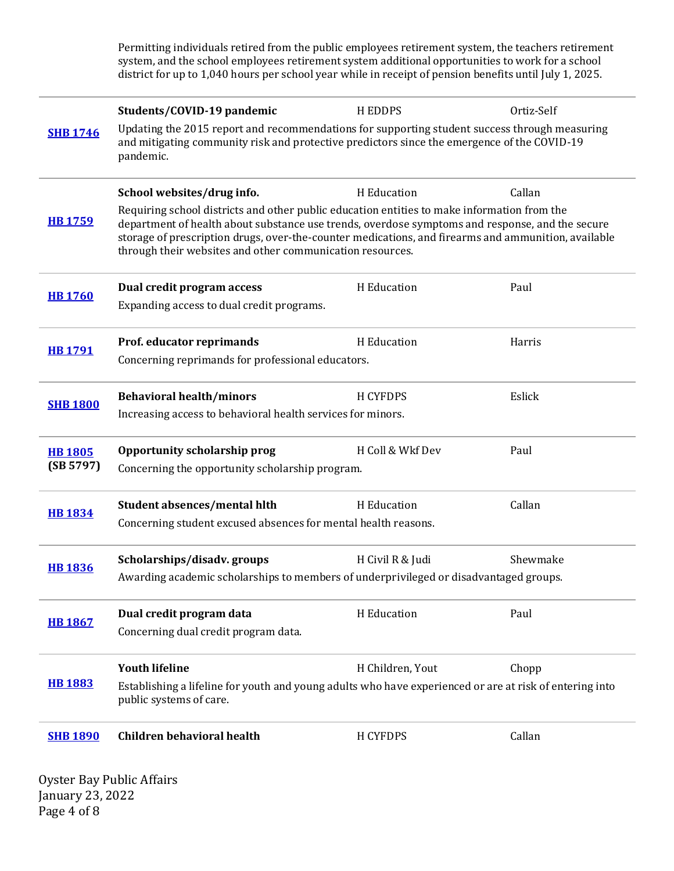Permitting individuals retired from the public employees retirement system, the teachers retirement system, and the school employees retirement system additional opportunities to work for a school district for up to 1,040 hours per school year while in receipt of pension benefits until July 1, 2025.

| <b>SHB 1746</b>             | Students/COVID-19 pandemic<br>Updating the 2015 report and recommendations for supporting student success through measuring<br>and mitigating community risk and protective predictors since the emergence of the COVID-19<br>pandemic.                                                                                                                                                                                   | <b>HEDDPS</b>    | Ortiz-Self |  |
|-----------------------------|---------------------------------------------------------------------------------------------------------------------------------------------------------------------------------------------------------------------------------------------------------------------------------------------------------------------------------------------------------------------------------------------------------------------------|------------------|------------|--|
| <b>HB1759</b>               | Callan<br>School websites/drug info.<br>H Education<br>Requiring school districts and other public education entities to make information from the<br>department of health about substance use trends, overdose symptoms and response, and the secure<br>storage of prescription drugs, over-the-counter medications, and firearms and ammunition, available<br>through their websites and other communication resources. |                  |            |  |
| <b>HB1760</b>               | Dual credit program access<br>Expanding access to dual credit programs.                                                                                                                                                                                                                                                                                                                                                   | H Education      | Paul       |  |
| <b>HB1791</b>               | Prof. educator reprimands<br>Concerning reprimands for professional educators.                                                                                                                                                                                                                                                                                                                                            | H Education      | Harris     |  |
| <b>SHB 1800</b>             | <b>Behavioral health/minors</b><br>Increasing access to behavioral health services for minors.                                                                                                                                                                                                                                                                                                                            | <b>H CYFDPS</b>  | Eslick     |  |
| <b>HB 1805</b><br>(SB 5797) | Opportunity scholarship prog<br>Concerning the opportunity scholarship program.                                                                                                                                                                                                                                                                                                                                           | H Coll & Wkf Dev | Paul       |  |
| <b>HB 1834</b>              | Student absences/mental hlth<br>Concerning student excused absences for mental health reasons.                                                                                                                                                                                                                                                                                                                            | H Education      | Callan     |  |
| <b>HB 1836</b>              | Scholarships/disadv.groups<br>Awarding academic scholarships to members of underprivileged or disadvantaged groups.                                                                                                                                                                                                                                                                                                       | H Civil R & Judi | Shewmake   |  |
| <b>HB 1867</b>              | Dual credit program data<br>Concerning dual credit program data.                                                                                                                                                                                                                                                                                                                                                          | H Education      | Paul       |  |
| <b>HB 1883</b>              | <b>Youth lifeline</b><br>Establishing a lifeline for youth and young adults who have experienced or are at risk of entering into<br>public systems of care.                                                                                                                                                                                                                                                               | H Children, Yout | Chopp      |  |
| <b>SHB 1890</b>             | <b>Children behavioral health</b>                                                                                                                                                                                                                                                                                                                                                                                         | H CYFDPS         | Callan     |  |

Oyster Bay Public Affairs January 23, 2022 Page 4 of 8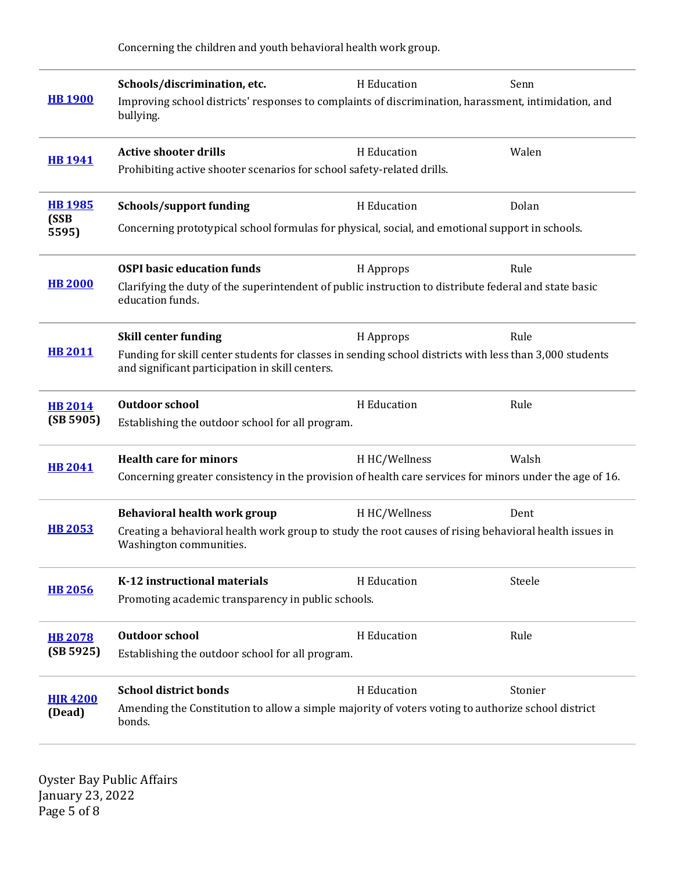Concerning the children and youth behavioral health work group.

| <b>HB 1900</b>                 | Schools/discrimination, etc.<br>Improving school districts' responses to complaints of discrimination, harassment, intimidation, and<br>bullying.                                                              | H Education   | Senn    |  |
|--------------------------------|----------------------------------------------------------------------------------------------------------------------------------------------------------------------------------------------------------------|---------------|---------|--|
| <b>HB1941</b>                  | <b>Active shooter drills</b><br>Prohibiting active shooter scenarios for school safety-related drills.                                                                                                         | H Education   | Walen   |  |
| <b>HB1985</b><br>(SSB<br>5595) | <b>Schools/support funding</b><br>Concerning prototypical school formulas for physical, social, and emotional support in schools.                                                                              | H Education   | Dolan   |  |
| <b>HB 2000</b>                 | <b>OSPI</b> basic education funds<br>Clarifying the duty of the superintendent of public instruction to distribute federal and state basic<br>education funds.                                                 | H Approps     | Rule    |  |
| <b>HB 2011</b>                 | <b>Skill center funding</b><br>Rule<br>H Approps<br>Funding for skill center students for classes in sending school districts with less than 3,000 students<br>and significant participation in skill centers. |               |         |  |
| <b>HB 2014</b><br>(SB 5905)    | <b>Outdoor school</b><br>Establishing the outdoor school for all program.                                                                                                                                      | H Education   | Rule    |  |
| <b>HB 2041</b>                 | <b>Health care for minors</b><br>Concerning greater consistency in the provision of health care services for minors under the age of 16.                                                                       | H HC/Wellness | Walsh   |  |
| <b>HB 2053</b>                 | Behavioral health work group<br>Creating a behavioral health work group to study the root causes of rising behavioral health issues in<br>Washington communities.                                              | H HC/Wellness | Dent    |  |
| <b>HB 2056</b>                 | K-12 instructional materials<br>Promoting academic transparency in public schools.                                                                                                                             | H Education   | Steele  |  |
| <b>HB 2078</b><br>(SB 5925)    | <b>Outdoor school</b><br>Establishing the outdoor school for all program.                                                                                                                                      | H Education   | Rule    |  |
| <b>HJR 4200</b><br>(Dead)      | <b>School district bonds</b><br>Amending the Constitution to allow a simple majority of voters voting to authorize school district<br>bonds.                                                                   | H Education   | Stonier |  |

Oyster Bay Public Affairs January 23, 2022 Page 5 of 8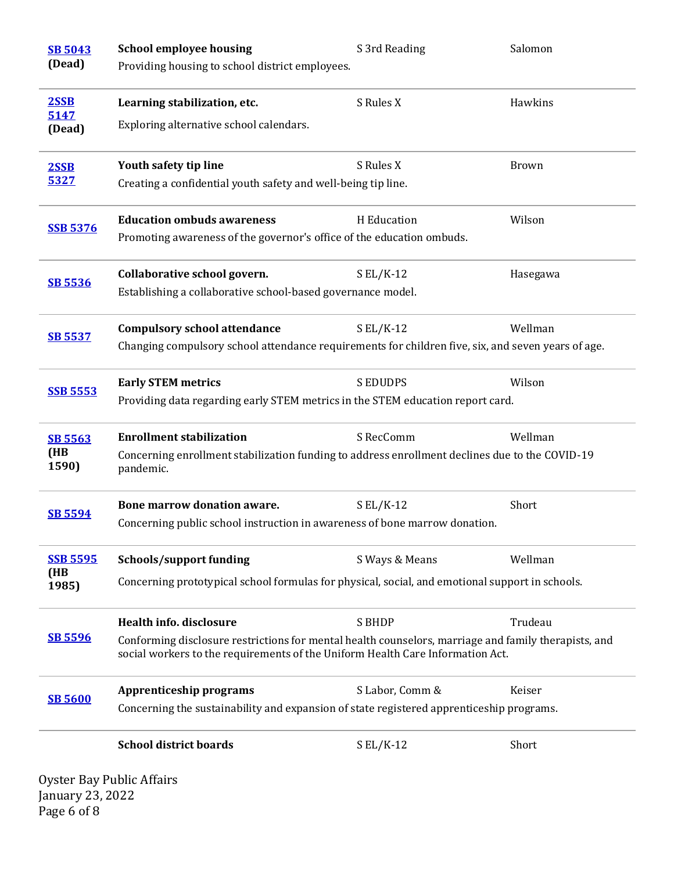| <b>SB 5043</b>  | <b>School employee housing</b>                                                                                                                                                         | S 3rd Reading   | Salomon      |  |
|-----------------|----------------------------------------------------------------------------------------------------------------------------------------------------------------------------------------|-----------------|--------------|--|
| (Dead)          | Providing housing to school district employees.                                                                                                                                        |                 |              |  |
| 2SSB            | Learning stabilization, etc.                                                                                                                                                           | S Rules X       | Hawkins      |  |
| 5147<br>(Dead)  | Exploring alternative school calendars.                                                                                                                                                |                 |              |  |
| 2SSB            | Youth safety tip line                                                                                                                                                                  | S Rules X       | <b>Brown</b> |  |
| 5327            | Creating a confidential youth safety and well-being tip line.                                                                                                                          |                 |              |  |
| <b>SSB 5376</b> | <b>Education ombuds awareness</b>                                                                                                                                                      | H Education     | Wilson       |  |
|                 | Promoting awareness of the governor's office of the education ombuds.                                                                                                                  |                 |              |  |
|                 | Collaborative school govern.                                                                                                                                                           | $S EL/K-12$     | Hasegawa     |  |
| <b>SB 5536</b>  | Establishing a collaborative school-based governance model.                                                                                                                            |                 |              |  |
|                 | <b>Compulsory school attendance</b>                                                                                                                                                    | $S EL/K-12$     | Wellman      |  |
| <b>SB 5537</b>  | Changing compulsory school attendance requirements for children five, six, and seven years of age.                                                                                     |                 |              |  |
|                 | <b>Early STEM metrics</b>                                                                                                                                                              | <b>SEDUDPS</b>  | Wilson       |  |
| <b>SSB 5553</b> | Providing data regarding early STEM metrics in the STEM education report card.                                                                                                         |                 |              |  |
| <b>SB 5563</b>  | <b>Enrollment stabilization</b>                                                                                                                                                        | S RecComm       | Wellman      |  |
| (HB<br>1590)    | Concerning enrollment stabilization funding to address enrollment declines due to the COVID-19<br>pandemic.                                                                            |                 |              |  |
| <b>SB 5594</b>  | Bone marrow donation aware.                                                                                                                                                            | $S EL/K-12$     | Short        |  |
|                 | Concerning public school instruction in awareness of bone marrow donation.                                                                                                             |                 |              |  |
| <b>SSB 5595</b> | Schools/support funding                                                                                                                                                                | S Ways & Means  | Wellman      |  |
| (HB<br>1985)    | Concerning prototypical school formulas for physical, social, and emotional support in schools.                                                                                        |                 |              |  |
|                 | <b>Health info. disclosure</b>                                                                                                                                                         | <b>S BHDP</b>   | Trudeau      |  |
| <b>SB 5596</b>  | Conforming disclosure restrictions for mental health counselors, marriage and family therapists, and<br>social workers to the requirements of the Uniform Health Care Information Act. |                 |              |  |
|                 | Apprenticeship programs                                                                                                                                                                | S Labor, Comm & | Keiser       |  |
| <b>SB 5600</b>  | Concerning the sustainability and expansion of state registered apprenticeship programs.                                                                                               |                 |              |  |
|                 | <b>School district boards</b>                                                                                                                                                          | $S EL/K-12$     | Short        |  |

Oyster Bay Public Affairs January 23, 2022 Page 6 of 8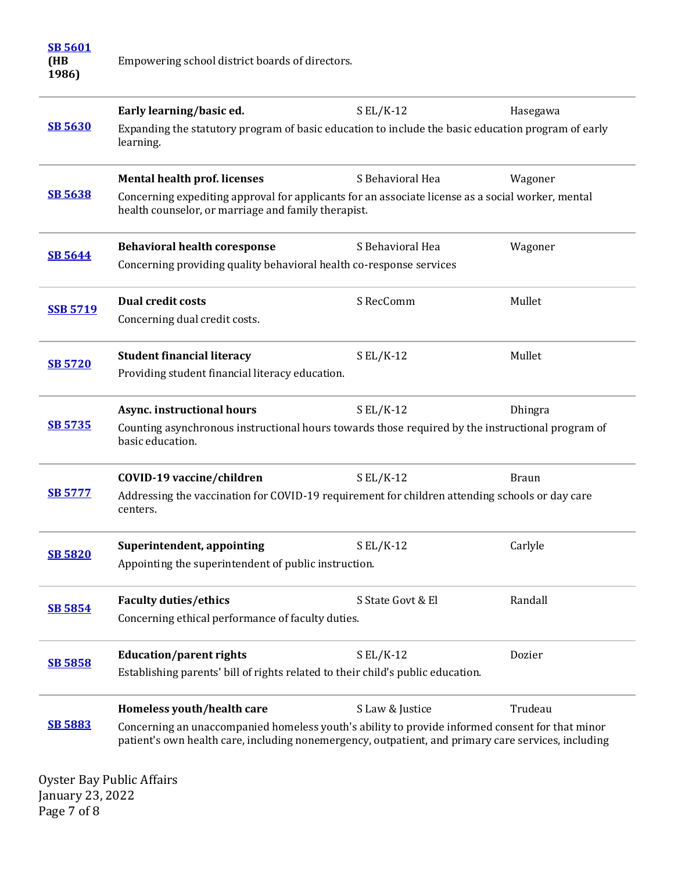| <b>SB 5601</b><br>(HB<br>1986) | Empowering school district boards of directors.                                                                                                                                                        |                   |              |  |
|--------------------------------|--------------------------------------------------------------------------------------------------------------------------------------------------------------------------------------------------------|-------------------|--------------|--|
|                                | Early learning/basic ed.                                                                                                                                                                               | $S EL/K-12$       | Hasegawa     |  |
| <b>SB 5630</b>                 | Expanding the statutory program of basic education to include the basic education program of early<br>learning.                                                                                        |                   |              |  |
|                                | <b>Mental health prof. licenses</b>                                                                                                                                                                    | S Behavioral Hea  | Wagoner      |  |
| <b>SB 5638</b>                 | Concerning expediting approval for applicants for an associate license as a social worker, mental<br>health counselor, or marriage and family therapist.                                               |                   |              |  |
| <b>SB 5644</b>                 | <b>Behavioral health coresponse</b>                                                                                                                                                                    | S Behavioral Hea  | Wagoner      |  |
|                                | Concerning providing quality behavioral health co-response services                                                                                                                                    |                   |              |  |
| <b>SSB 5719</b>                | <b>Dual credit costs</b>                                                                                                                                                                               | S RecComm         | Mullet       |  |
|                                | Concerning dual credit costs.                                                                                                                                                                          |                   |              |  |
| <b>SB 5720</b>                 | <b>Student financial literacy</b>                                                                                                                                                                      | $S EL/K-12$       | Mullet       |  |
|                                | Providing student financial literacy education.                                                                                                                                                        |                   |              |  |
| <b>SB 5735</b>                 | Async. instructional hours                                                                                                                                                                             | $SL/K-12$         | Dhingra      |  |
|                                | Counting asynchronous instructional hours towards those required by the instructional program of<br>basic education.                                                                                   |                   |              |  |
|                                | COVID-19 vaccine/children                                                                                                                                                                              | $S EL/K-12$       | <b>Braun</b> |  |
| <b>SB 5777</b>                 | Addressing the vaccination for COVID-19 requirement for children attending schools or day care<br>centers.                                                                                             |                   |              |  |
|                                | Superintendent, appointing                                                                                                                                                                             | $SL/K-12$         | Carlyle      |  |
| <b>SB 5820</b>                 | Appointing the superintendent of public instruction.                                                                                                                                                   |                   |              |  |
|                                | <b>Faculty duties/ethics</b>                                                                                                                                                                           | S State Govt & El | Randall      |  |
| <b>SB 5854</b>                 | Concerning ethical performance of faculty duties.                                                                                                                                                      |                   |              |  |
|                                | <b>Education/parent rights</b>                                                                                                                                                                         | $S EL/K-12$       | Dozier       |  |
| <b>SB 5858</b>                 | Establishing parents' bill of rights related to their child's public education.                                                                                                                        |                   |              |  |
|                                | Homeless youth/health care                                                                                                                                                                             | S Law & Justice   | Trudeau      |  |
| <b>SB 5883</b>                 | Concerning an unaccompanied homeless youth's ability to provide informed consent for that minor<br>patient's own health care, including nonemergency, outpatient, and primary care services, including |                   |              |  |

Oyster Bay Public Affairs January 23, 2022 Page 7 of 8